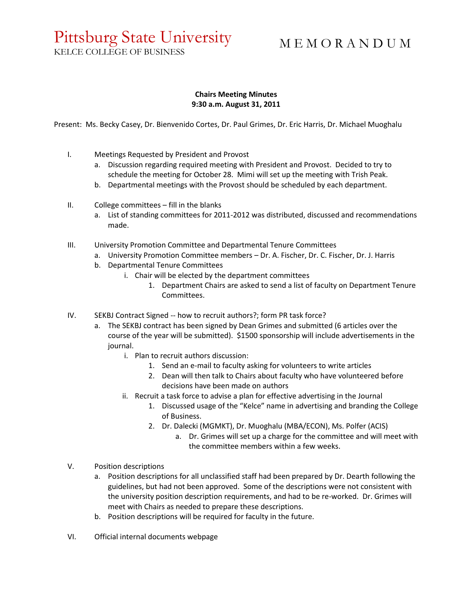## Pittsburg State University

M E M O R A N D U M

KELCE COLLEGE OF BUSINESS

## **Chairs Meeting Minutes 9:30 a.m. August 31, 2011**

Present: Ms. Becky Casey, Dr. Bienvenido Cortes, Dr. Paul Grimes, Dr. Eric Harris, Dr. Michael Muoghalu

- I. Meetings Requested by President and Provost
	- a. Discussion regarding required meeting with President and Provost. Decided to try to schedule the meeting for October 28. Mimi will set up the meeting with Trish Peak.
	- b. Departmental meetings with the Provost should be scheduled by each department.
- II. College committees fill in the blanks
	- a. List of standing committees for 2011-2012 was distributed, discussed and recommendations made.
- III. University Promotion Committee and Departmental Tenure Committees
	- a. University Promotion Committee members Dr. A. Fischer, Dr. C. Fischer, Dr. J. Harris
	- b. Departmental Tenure Committees
		- i. Chair will be elected by the department committees
			- 1. Department Chairs are asked to send a list of faculty on Department Tenure Committees.
- IV. SEKBJ Contract Signed -- how to recruit authors?; form PR task force?
	- a. The SEKBJ contract has been signed by Dean Grimes and submitted (6 articles over the course of the year will be submitted). \$1500 sponsorship will include advertisements in the journal.
		- i. Plan to recruit authors discussion:
			- 1. Send an e-mail to faculty asking for volunteers to write articles
			- 2. Dean will then talk to Chairs about faculty who have volunteered before decisions have been made on authors
		- ii. Recruit a task force to advise a plan for effective advertising in the Journal
			- 1. Discussed usage of the "Kelce" name in advertising and branding the College of Business.
			- 2. Dr. Dalecki (MGMKT), Dr. Muoghalu (MBA/ECON), Ms. Polfer (ACIS)
				- a. Dr. Grimes will set up a charge for the committee and will meet with the committee members within a few weeks.
- V. Position descriptions
	- a. Position descriptions for all unclassified staff had been prepared by Dr. Dearth following the guidelines, but had not been approved. Some of the descriptions were not consistent with the university position description requirements, and had to be re-worked. Dr. Grimes will meet with Chairs as needed to prepare these descriptions.
	- b. Position descriptions will be required for faculty in the future.
- VI. Official internal documents webpage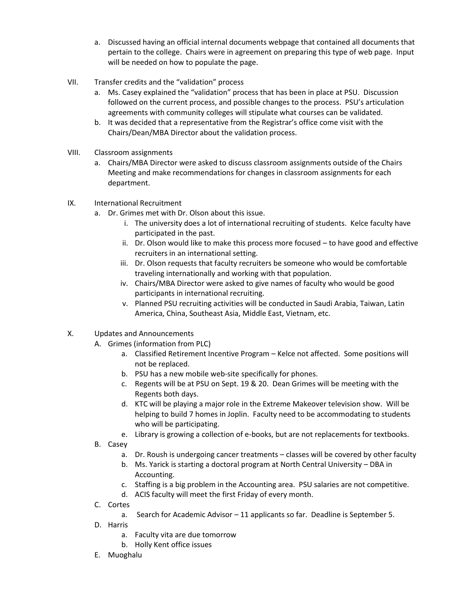- a. Discussed having an official internal documents webpage that contained all documents that pertain to the college. Chairs were in agreement on preparing this type of web page. Input will be needed on how to populate the page.
- VII. Transfer credits and the "validation" process
	- a. Ms. Casey explained the "validation" process that has been in place at PSU. Discussion followed on the current process, and possible changes to the process. PSU's articulation agreements with community colleges will stipulate what courses can be validated.
	- b. It was decided that a representative from the Registrar's office come visit with the Chairs/Dean/MBA Director about the validation process.
- VIII. Classroom assignments
	- a. Chairs/MBA Director were asked to discuss classroom assignments outside of the Chairs Meeting and make recommendations for changes in classroom assignments for each department.
- IX. International Recruitment
	- a. Dr. Grimes met with Dr. Olson about this issue.
		- i. The university does a lot of international recruiting of students. Kelce faculty have participated in the past.
		- ii. Dr. Olson would like to make this process more focused to have good and effective recruiters in an international setting.
		- iii. Dr. Olson requests that faculty recruiters be someone who would be comfortable traveling internationally and working with that population.
		- iv. Chairs/MBA Director were asked to give names of faculty who would be good participants in international recruiting.
		- v. Planned PSU recruiting activities will be conducted in Saudi Arabia, Taiwan, Latin America, China, Southeast Asia, Middle East, Vietnam, etc.
- X. Updates and Announcements
	- A. Grimes (information from PLC)
		- a. Classified Retirement Incentive Program Kelce not affected. Some positions will not be replaced.
		- b. PSU has a new mobile web-site specifically for phones.
		- c. Regents will be at PSU on Sept. 19 & 20. Dean Grimes will be meeting with the Regents both days.
		- d. KTC will be playing a major role in the Extreme Makeover television show. Will be helping to build 7 homes in Joplin. Faculty need to be accommodating to students who will be participating.
		- e. Library is growing a collection of e-books, but are not replacements for textbooks.
	- B. Casey
		- a. Dr. Roush is undergoing cancer treatments classes will be covered by other faculty
		- b. Ms. Yarick is starting a doctoral program at North Central University DBA in Accounting.
		- c. Staffing is a big problem in the Accounting area. PSU salaries are not competitive.
		- d. ACIS faculty will meet the first Friday of every month.
	- C. Cortes
		- a. Search for Academic Advisor 11 applicants so far. Deadline is September 5.
	- D. Harris
		- a. Faculty vita are due tomorrow
		- b. Holly Kent office issues
	- E. Muoghalu